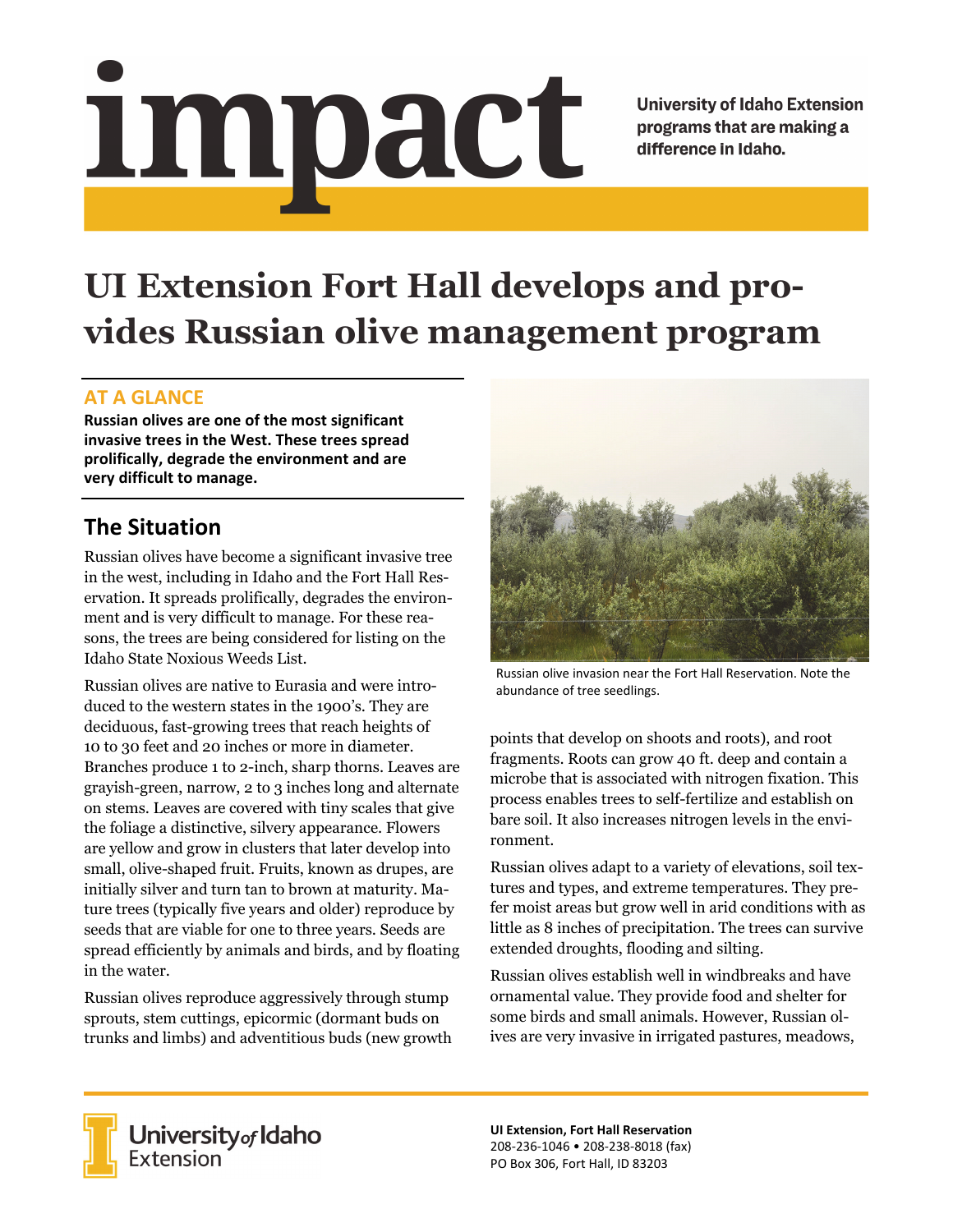# <u>impact</u>

**University of Idaho Extension** programs that are making a difference in Idaho.

# **UI Extension Fort Hall develops and provides Russian olive management program**

#### **AT A GLANCE**

**Russian olives are one of the most significant invasive trees in the West. These trees spread prolifically, degrade the environment and are very difficult to manage.** 

# **The Situation**

Russian olives have become a significant invasive tree in the west, including in Idaho and the Fort Hall Reservation. It spreads prolifically, degrades the environment and is very difficult to manage. For these reasons, the trees are being considered for listing on the Idaho State Noxious Weeds List.

Russian olives are native to Eurasia and were introduced to the western states in the 1900's. They are deciduous, fast-growing trees that reach heights of 10 to 30 feet and 20 inches or more in diameter. Branches produce 1 to 2-inch, sharp thorns. Leaves are grayish-green, narrow, 2 to 3 inches long and alternate on stems. Leaves are covered with tiny scales that give the foliage a distinctive, silvery appearance. Flowers are yellow and grow in clusters that later develop into small, olive-shaped fruit. Fruits, known as drupes, are initially silver and turn tan to brown at maturity. Mature trees (typically five years and older) reproduce by seeds that are viable for one to three years. Seeds are spread efficiently by animals and birds, and by floating in the water.

Russian olives reproduce aggressively through stump sprouts, stem cuttings, epicormic (dormant buds on trunks and limbs) and adventitious buds (new growth



Russian olive invasion near the Fort Hall Reservation. Note the abundance of tree seedlings.

points that develop on shoots and roots), and root fragments. Roots can grow 40 ft. deep and contain a microbe that is associated with nitrogen fixation. This process enables trees to self-fertilize and establish on bare soil. It also increases nitrogen levels in the environment.

Russian olives adapt to a variety of elevations, soil textures and types, and extreme temperatures. They prefer moist areas but grow well in arid conditions with as little as 8 inches of precipitation. The trees can survive extended droughts, flooding and silting.

Russian olives establish well in windbreaks and have ornamental value. They provide food and shelter for some birds and small animals. However, Russian olives are very invasive in irrigated pastures, meadows,



**University** of Idaho<br>Extension

**UI Extension, Fort Hall Reservation**  208‐236‐1046 • 208‐238‐8018 (fax) PO Box 306, Fort Hall, ID 83203